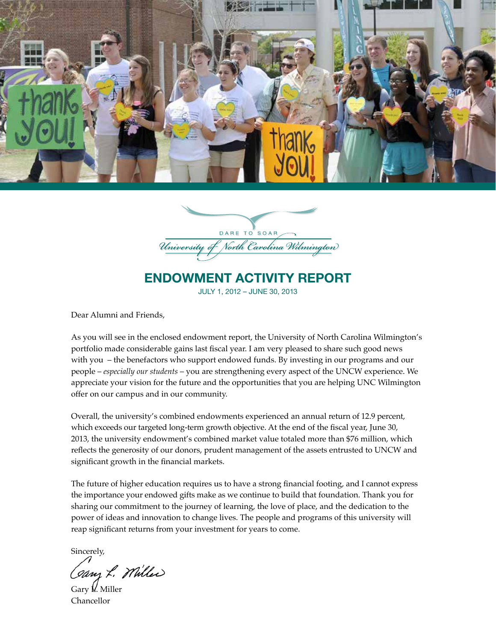



# ENDOWMENT ACTIVITY REPORT

JULY 1, 2012 – JUNE 30, 2013

Dear Alumni and Friends,

As you will see in the enclosed endowment report, the University of North Carolina Wilmington's portfolio made considerable gains last fiscal year. I am very pleased to share such good news with you – the benefactors who support endowed funds. By investing in our programs and our people – *especially our students* – you are strengthening every aspect of the UNCW experience. We appreciate your vision for the future and the opportunities that you are helping UNC Wilmington offer on our campus and in our community.

Overall, the university's combined endowments experienced an annual return of 12.9 percent, which exceeds our targeted long-term growth objective. At the end of the fiscal year, June 30, 2013, the university endowment's combined market value totaled more than \$76 million, which reflects the generosity of our donors, prudent management of the assets entrusted to UNCW and significant growth in the financial markets.

The future of higher education requires us to have a strong financial footing, and I cannot express the importance your endowed gifts make as we continue to build that foundation. Thank you for sharing our commitment to the journey of learning, the love of place, and the dedication to the power of ideas and innovation to change lives. The people and programs of this university will reap significant returns from your investment for years to come.

Sincerely,

Canz L. Miller

Gary L. Miller Chancellor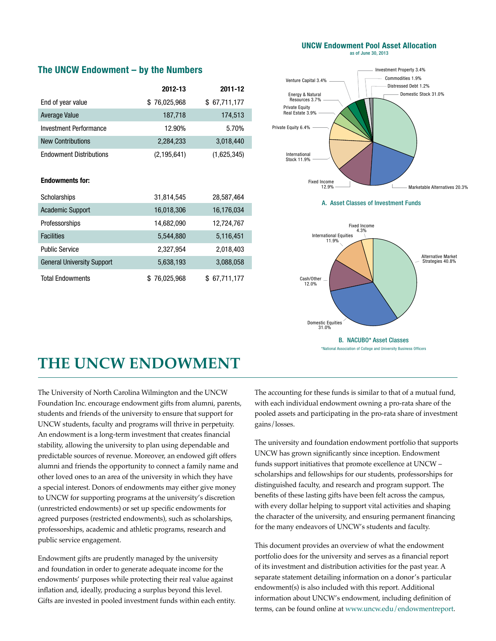#### **UNCW Endowment Pool Asset Allocation** as of June 30, 2013

## **The UNCW Endowment – by the Numbers**

|                                | 2012-13      | 2011-12      |
|--------------------------------|--------------|--------------|
| End of year value              | \$76,025,968 | \$67,711,177 |
| Average Value                  | 187,718      | 174,513      |
| <b>Investment Performance</b>  | 12.90%       | 5.70%        |
| <b>New Contributions</b>       | 2,284,233    | 3,018,440    |
| <b>Endowment Distributions</b> | (2,195,641)  | (1,625,345)  |

### **Endowments for:**

| Scholarships                      | 31,814,545   | 28,587,464   |
|-----------------------------------|--------------|--------------|
| <b>Academic Support</b>           | 16,018,306   | 16,176,034   |
| Professorships                    | 14,682,090   | 12,724,767   |
| <b>Facilities</b>                 | 5,544,880    | 5,116,451    |
| <b>Public Service</b>             | 2,327,954    | 2,018,403    |
| <b>General University Support</b> | 5,638,193    | 3,088,058    |
| <b>Total Endowments</b>           | \$76,025,968 | \$67,711,177 |



A. Asset Classes of Investment Funds



# **THE UNCW ENDOWMENT**

The University of North Carolina Wilmington and the UNCW Foundation Inc. encourage endowment gifts from alumni, parents, students and friends of the university to ensure that support for UNCW students, faculty and programs will thrive in perpetuity. An endowment is a long-term investment that creates financial stability, allowing the university to plan using dependable and predictable sources of revenue. Moreover, an endowed gift offers alumni and friends the opportunity to connect a family name and other loved ones to an area of the university in which they have a special interest. Donors of endowments may either give money to UNCW for supporting programs at the university's discretion (unrestricted endowments) or set up specific endowments for agreed purposes (restricted endowments), such as scholarships, professorships, academic and athletic programs, research and public service engagement.

Endowment gifts are prudently managed by the university and foundation in order to generate adequate income for the endowments' purposes while protecting their real value against inflation and, ideally, producing a surplus beyond this level. Gifts are invested in pooled investment funds within each entity. The accounting for these funds is similar to that of a mutual fund, with each individual endowment owning a pro-rata share of the pooled assets and participating in the pro-rata share of investment gains/losses.

The university and foundation endowment portfolio that supports UNCW has grown significantly since inception. Endowment funds support initiatives that promote excellence at UNCW – scholarships and fellowships for our students, professorships for distinguished faculty, and research and program support. The benefits of these lasting gifts have been felt across the campus, with every dollar helping to support vital activities and shaping the character of the university, and ensuring permanent financing for the many endeavors of UNCW's students and faculty.

This document provides an overview of what the endowment portfolio does for the university and serves as a financial report of its investment and distribution activities for the past year. A separate statement detailing information on a donor's particular endowment(s) is also included with this report. Additional information about UNCW's endowment, including definition of terms, can be found online at www.uncw.edu/endowmentreport.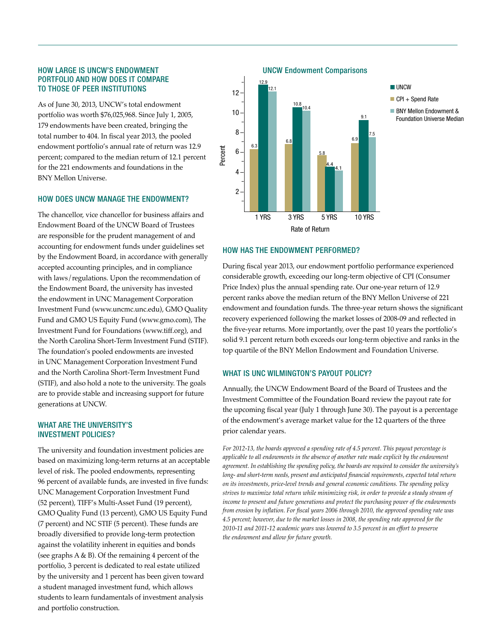### HOW LARGE IS UNCW'S ENDOWMENT PORTFOLIO AND HOW DOES IT COMPARE TO THOSE OF PEER INSTITUTIONS

As of June 30, 2013, UNCW's total endowment portfolio was worth \$76,025,968. Since July 1, 2005, 179 endowments have been created, bringing the total number to 404. In fiscal year 2013, the pooled endowment portfolio's annual rate of return was 12.9 percent; compared to the median return of 12.1 percent for the 221 endowments and foundations in the BNY Mellon Universe.

#### HOW DOES UNCW MANAGE THE ENDOWMENT?

The chancellor, vice chancellor for business affairs and Endowment Board of the UNCW Board of Trustees are responsible for the prudent management of and accounting for endowment funds under guidelines set by the Endowment Board, in accordance with generally accepted accounting principles, and in compliance with laws/regulations. Upon the recommendation of the Endowment Board, the university has invested the endowment in UNC Management Corporation Investment Fund (www.uncmc.unc.edu), GMO Quality Fund and GMO US Equity Fund (www.gmo.com), The Investment Fund for Foundations (www.tiff.org), and the North Carolina Short-Term Investment Fund (STIF). The foundation's pooled endowments are invested in UNC Management Corporation Investment Fund and the North Carolina Short-Term Investment Fund (STIF), and also hold a note to the university. The goals are to provide stable and increasing support for future generations at UNCW.

### WHAT ARE THE UNIVERSITY'S INVESTMENT POLICIES?

The university and foundation investment policies are based on maximizing long-term returns at an acceptable level of risk. The pooled endowments, representing 96 percent of available funds, are invested in five funds: UNC Management Corporation Investment Fund (52 percent), TIFF's Multi-Asset Fund (19 percent), GMO Quality Fund (13 percent), GMO US Equity Fund (7 percent) and NC STIF (5 percent). These funds are broadly diversified to provide long-term protection against the volatility inherent in equities and bonds (see graphs  $A \& B$ ). Of the remaining 4 percent of the portfolio, 3 percent is dedicated to real estate utilized by the university and 1 percent has been given toward a student managed investment fund, which allows students to learn fundamentals of investment analysis and portfolio construction.

UNCW Endowment Comparisons



#### HOW HAS THE ENDOWMENT PERFORMED?

Percent

During fiscal year 2013, our endowment portfolio performance experienced considerable growth, exceeding our long-term objective of CPI (Consumer Price Index) plus the annual spending rate. Our one-year return of 12.9 percent ranks above the median return of the BNY Mellon Universe of 221 endowment and foundation funds. The three-year return shows the significant recovery experienced following the market losses of 2008-09 and reflected in the five-year returns. More importantly, over the past 10 years the portfolio's solid 9.1 percent return both exceeds our long-term objective and ranks in the top quartile of the BNY Mellon Endowment and Foundation Universe.

#### WHAT IS UNC WILMINGTON'S PAYOUT POLICY?

Annually, the UNCW Endowment Board of the Board of Trustees and the Investment Committee of the Foundation Board review the payout rate for the upcoming fiscal year (July 1 through June 30). The payout is a percentage of the endowment's average market value for the 12 quarters of the three prior calendar years.

*For 2012-13, the boards approved a spending rate of 4.5 percent. This payout percentage is applicable to all endowments in the absence of another rate made explicit by the endowment agreement. In establishing the spending policy, the boards are required to consider the university's long- and short-term needs, present and anticipated financial requirements, expected total return on its investments, price-level trends and general economic conditions. The spending policy strives to maximize total return while minimizing risk, in order to provide a steady stream of income to present and future generations and protect the purchasing power of the endowments from erosion by inflation. For fiscal years 2006 through 2010, the approved spending rate was 4.5 percent; however, due to the market losses in 2008, the spending rate approved for the 2010-11 and 2011-12 academic years was lowered to 3.5 percent in an effort to preserve the endowment and allow for future growth.*